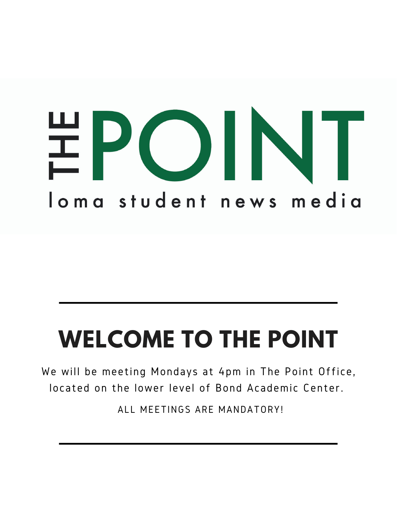

## **WELCOME TO THE POINT**

We will be meeting Mondays at 4pm in The Point Office, located on the lower level of Bond Academic Center.

ALL MEETINGS ARE MANDATORY!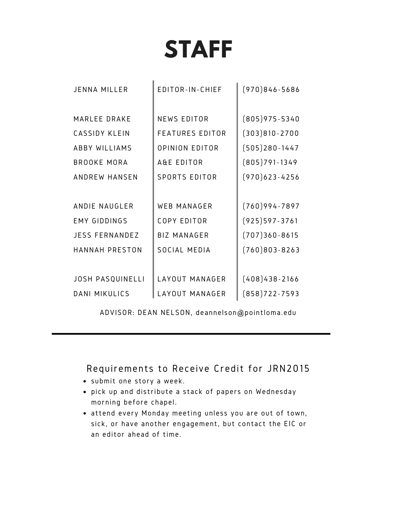## **STAFF**

| JENNA MILLER            | EDITOR-IN-CHIEF        | $(970)846 - 5686$ |
|-------------------------|------------------------|-------------------|
|                         |                        |                   |
| MARLEE DRAKE            | <b>NEWS EDITOR</b>     | $(805)975 - 5340$ |
| CASSIDY KLEIN           | <b>FEATURES EDITOR</b> | $(303)810 - 2700$ |
| <b>ABBY WILLIAMS</b>    | <b>OPINION EDITOR</b>  | $(505)280 - 1447$ |
| <b>BROOKE MORA</b>      | A&E EDITOR             | $(805)791 - 1349$ |
| ANDREW HANSEN           | <b>SPORTS EDITOR</b>   | $(970)623 - 4256$ |
|                         |                        |                   |
| ANDIE NAUGLER           | <b>WEB MANAGER</b>     | $(760)994 - 7897$ |
| <b>EMY GIDDINGS</b>     | <b>COPY EDITOR</b>     | $(925)597 - 3761$ |
| <b>JESS FERNANDEZ</b>   | <b>BIZ MANAGER</b>     | $(707)360 - 8615$ |
| <b>HANNAH PRESTON</b>   | SOCIAL MEDIA           | $(760)803 - 8263$ |
|                         |                        |                   |
| <b>JOSH PASQUINELLI</b> | LAYOUT MANAGER         | $(408)438 - 2166$ |
| <b>DANI MIKULICS</b>    | LAYOUT MANAGER         | $(858)722 - 7593$ |

ADVISOR: DEAN NELSON, deannelson@pointloma.edu

Requirements to Receive Credit for JRN2015

- submit one story a week.
- pick up and distribute a stack of papers on Wednesday morning before chapel.
- attend every Monday meeting unless you are out of town, sick, or have another engagement, but contact the EIC or an editor ahead of time.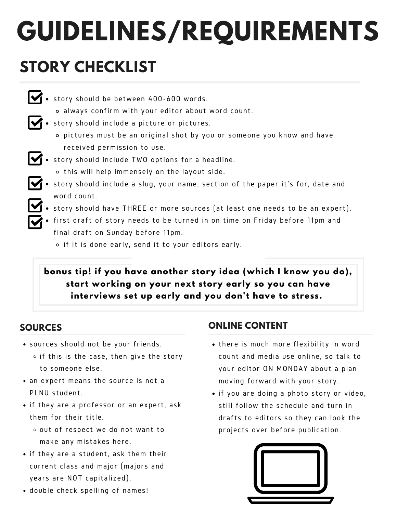# **GUIDELINES/REQUIREMENTS**

### **STORY CHECKLIST**

- story should be between 400-600 words.
	- always confirm with your editor about word count.
- $\mathbf \blacktriangleleft \cdot$  story should include a picture or pictures.
	- pictures must be an original shot by you or someone you know and have received permission to use.
- $\blacktriangleright$   $\blacktriangleright$  story should include TWO options for a headline. o this will help immensely on the layout side.
- **1** story should include a slug, your name, section of the paper it's for, date and word count.
- story should have THREE or more sources (at least one needs to be an expert).
- first draft of story needs to be turned in on time on Friday before 11pm and final draft on Sunday before 11pm.
	- $\circ$  if it is done early, send it to your editors early.

**bonus tip! if you have another story idea (which I know you do), start working on your next story early so you can have interviews set up early and you don't have to stress.**

#### **SOURCES**

- sources should not be your friends.
	- $\circ$  if this is the case, then give the story to someone else.
- an expert means the source is not a PLNU student.
- if they are a professor or an expert, ask them for their title.
	- out of respect we do not want to make any mistakes here.
- if they are a student, ask them their current class and major (majors and years are NOT capitalized).
- double check spelling of names!

#### **ONLINE CONTENT**

- there is much more flexibility in word count and media use online, so talk to your editor ON MONDAY about a plan moving forward with your story.
- if you are doing a photo story or video, still follow the schedule and turn in drafts to editors so they can look the projects over before publication.

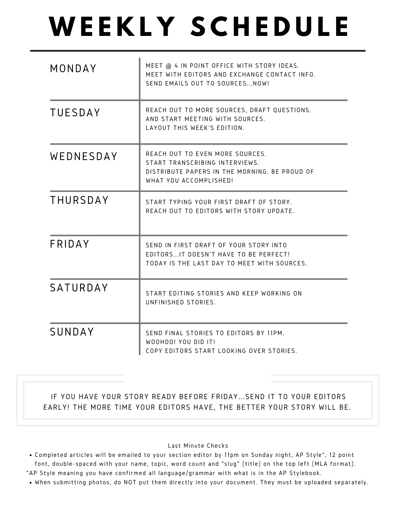## **W E E K L Y S C H E D U L E**

| MONDAY          | MEET @ 4 IN POINT OFFICE WITH STORY IDEAS.<br>MEET WITH EDITORS AND EXCHANGE CONTACT INFO.<br>SEND EMAILS OUT TO SOURCES NOW!                |  |
|-----------------|----------------------------------------------------------------------------------------------------------------------------------------------|--|
| <b>TUESDAY</b>  | REACH OUT TO MORE SOURCES, DRAFT QUESTIONS.<br>AND START MEETING WITH SOURCES.<br>LAYOUT THIS WEEK'S EDITION.                                |  |
| WEDNESDAY       | REACH OUT TO EVEN MORE SOURCES.<br>START TRANSCRIBING INTERVIEWS.<br>DISTRIBUTE PAPERS IN THE MORNING. BE PROUD OF<br>WHAT YOU ACCOMPLISHED! |  |
| <b>THURSDAY</b> | START TYPING YOUR FIRST DRAFT OF STORY.<br>REACH OUT TO EDITORS WITH STORY UPDATE.                                                           |  |
| FRIDAY          | SEND IN FIRST DRAFT OF YOUR STORY INTO<br>EDITORSIT DOESN'T HAVE TO BE PERFECT!<br>TODAY IS THE LAST DAY TO MEET WITH SOURCES.               |  |
| SATURDAY        | START EDITING STORIES AND KEEP WORKING ON<br>UNFINISHED STORIES.                                                                             |  |
| SUNDAY          | SEND FINAL STORIES TO EDITORS BY 11PM.<br>WOOHOO! YOU DID IT!<br>COPY EDITORS START LOOKING OVER STORIES.                                    |  |

IF YOU HAVE YOUR STORY READY BEFORE FRIDAY...SEND IT TO YOUR EDITORS EARLY! THE MORE TIME YOUR EDITORS HAVE, THE BETTER YOUR STORY WILL BE.

#### Last Minute Checks

- Completed articles will be emailed to your section editor by 11pm on Sunday night, AP Style\*, 12 point font, double-spaced with your name, topic, word count and "slug" (title) on the top left (MLA format).
- \*AP Style meaning you have confirmed al l language/grammar with what is in the AP Stylebook.
- When submitting photos, do NOT put them directly into your document. They must be uploaded separately.